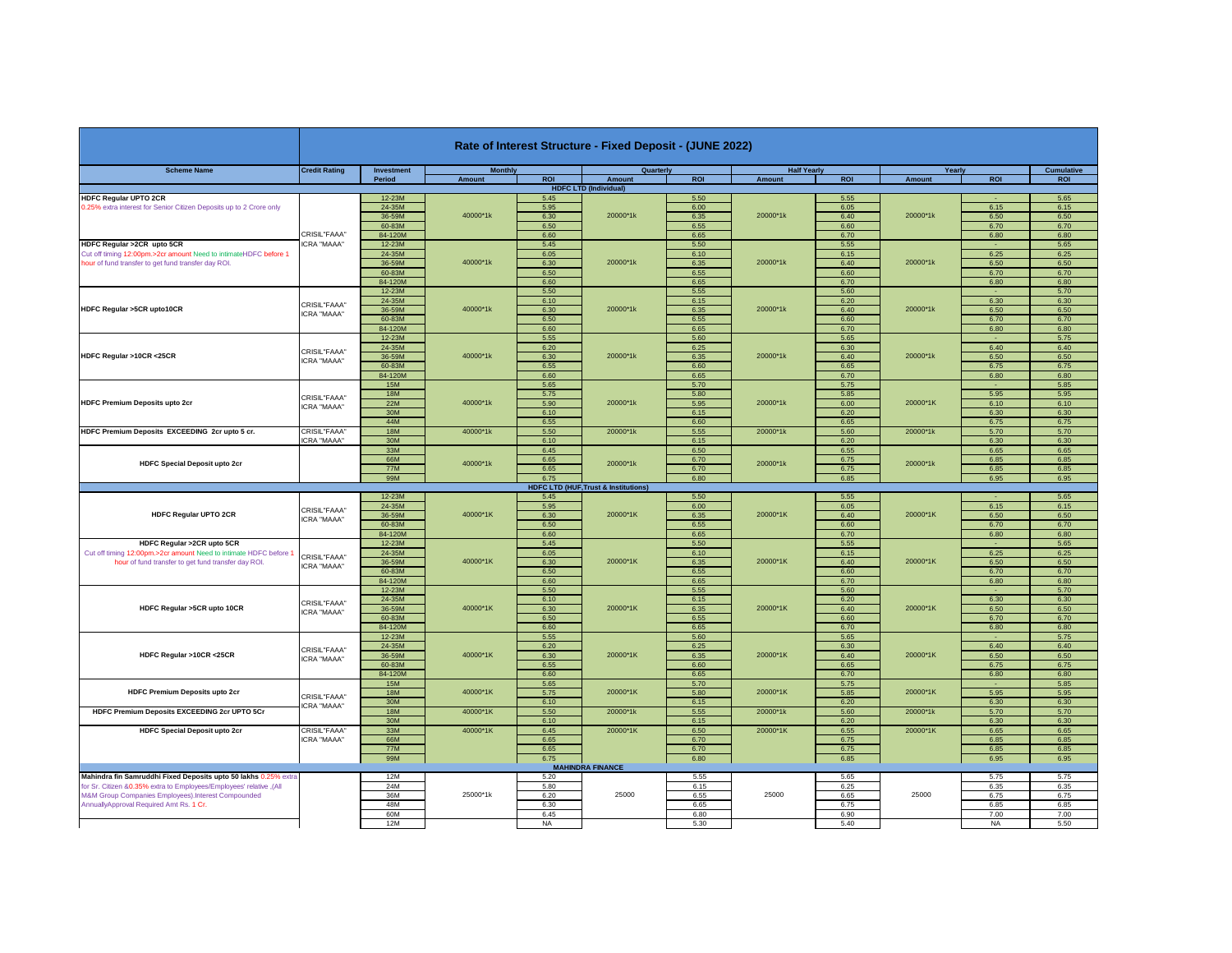|                                                                     |                                    |                            |                 |                   | Rate of Interest Structure - Fixed Deposit - (JUNE 2022) |              |                      |              |          |                   |              |
|---------------------------------------------------------------------|------------------------------------|----------------------------|-----------------|-------------------|----------------------------------------------------------|--------------|----------------------|--------------|----------|-------------------|--------------|
| <b>Scheme Name</b>                                                  | <b>Credit Rating</b>               | <b>Investment</b>          | <b>Monthly</b>  |                   | Quarterly                                                |              | <b>Half Yearly</b>   |              | Yearly   |                   | Cumulative   |
|                                                                     |                                    | Period                     | Amount          | <b>ROI</b>        | Amount                                                   | <b>ROI</b>   | Amount               | <b>ROI</b>   | Amount   | <b>ROI</b>        | <b>ROI</b>   |
| <b>HDFC Regular UPTO 2CR</b>                                        |                                    | $12-23M$                   |                 | 5.45              | <b>HDFC LTD (Individual)</b>                             | 5.50         |                      | 5.55         |          |                   | 5.65         |
| 0.25% extra interest for Senior Citizen Deposits up to 2 Crore only |                                    | 24-35M                     |                 | 5.95              |                                                          | 6.00         |                      | 6.05         |          | 6.15              | 6.15         |
|                                                                     |                                    | 36-59M                     | 40000*1k        | 6.30              | 20000*1k                                                 | 6.35         | 20000*1k             | 6.40         | 20000*1k | 6.50              | 6.50         |
|                                                                     |                                    | 60-83M                     |                 | 6.50              |                                                          | 6.55         |                      | 6.60         |          | 6.70              | 6.70         |
|                                                                     | CRISIL"FAAA"                       | 84-120M                    |                 | 6.60              |                                                          | 6.65         |                      | 6.70         |          | 6.80              | 6.80         |
| HDFC Regular >2CR upto 5CR                                          | ICRA "MAAA"                        | 12-23M                     |                 | 5.45              |                                                          | 5.50         |                      | 5.55         |          |                   | 5.65         |
| Cut off timing 12:00pm.>2cr amount Need to intimateHDFC before 1    |                                    | 24-35M<br>36-59M<br>60-83M | 40000*1k        | 6.05              | 20000*1k                                                 | 6.10         | 20000*1k             | 6.15         | 20000*1k | 6.25              | 6.25         |
| hour of fund transfer to get fund transfer day ROI.                 |                                    |                            |                 | 6.30              |                                                          | 6.35         |                      | 6.40         |          | 6.50              | 6.50         |
|                                                                     |                                    |                            |                 | 6.50              |                                                          | 6.55         |                      | 6.60         |          | 6.70              | 6.70         |
|                                                                     |                                    | 84-120M                    |                 | 6.60<br>5.50      |                                                          | 6.65<br>5.55 |                      | 6.70<br>5.60 |          | 6.80              | 6.80<br>5.70 |
|                                                                     |                                    | 12-23M<br>24-35M           |                 | 6.10              |                                                          | 6.15         |                      | 6.20         |          | 6.30              | 6.30         |
| HDFC Regular >5CR upto10CR                                          | CRISIL"FAAA"                       | 36-59M                     | 40000*1k        | 6.30              | 20000*1k                                                 | 6.35         | 20000*1k             | 6.40         | 20000*1k | 6.50              | 6.50         |
|                                                                     | CRA "MAAA"                         | 60-83M                     |                 | 6.50              |                                                          | 6.55         |                      | 6.60         |          | 6.70              | 6.70         |
|                                                                     |                                    | 84-120M                    |                 | 6.60              |                                                          | 6.65         |                      | 6.70         |          | 6.80              | 6.80         |
|                                                                     |                                    | 12-23M                     |                 | 5.55              |                                                          | 5.60         |                      | 5.65         |          |                   | 5.75         |
|                                                                     | CRISIL"FAAA"                       | 24-35M                     | 40000*1k        | 6.20              | 20000*1k<br>20000*1k                                     | 6.25         | 20000*1k<br>20000*1k | 6.30         |          | 6.40              | 6.40         |
| HDFC Regular >10CR <25CR                                            | <b>ICRA "MAAA"</b>                 | 36-59M<br>60-83M           |                 | 6.30              |                                                          | 6.35         |                      | 6.40         | 20000*1k | 6.50              | 6.50         |
|                                                                     |                                    |                            |                 | 6.55              |                                                          | 6.60         |                      | 6.65         |          | 6.75              | 6.75         |
|                                                                     |                                    | 84-120M                    |                 | 6.60              |                                                          | 6.65         |                      | 6.70         |          | 6.80              | 6.80         |
|                                                                     |                                    | <b>15M</b>                 |                 | 5.65              |                                                          | 5.70         |                      | 5.75         |          |                   | 5.85         |
|                                                                     | CRISIL"FAAA"<br><b>ICRA "MAAA"</b> | <b>18M</b>                 | 40000*1k<br>22M | 5.75              |                                                          | 5.80         |                      | 5.85         | 20000*1K | 5.95              | 5.95         |
| <b>HDFC Premium Deposits upto 2cr</b>                               |                                    |                            |                 | 5.90              |                                                          | 5.95         |                      | 6.00         |          | 6.10              | 6.10         |
|                                                                     |                                    | 30M                        |                 | 6.10              |                                                          | 6.15         |                      | 6.20         |          | 6.30              | 6.30         |
| HDFC Premium Deposits EXCEEDING 2cr upto 5 cr.                      | CRISIL"FAAA'                       | 44M<br><b>18M</b>          | 40000*1k        | 6.55              |                                                          | 6.60<br>5.55 |                      | 6.65         |          | 6.75              | 6.75         |
|                                                                     | CRA "MAAA"                         | 30M                        |                 | 5.50<br>6.10      | 20000*1k                                                 | 6.15         | 20000*1k             | 5.60<br>6.20 | 20000*1k | 5.70<br>6.30      | 5.70<br>6.30 |
|                                                                     |                                    | 33M                        |                 | 6.45              |                                                          | 6.50         |                      | 6.55         |          | 6.65              | 6.65         |
|                                                                     |                                    | 66M                        |                 | 6.65              | 20000*1k                                                 | 6.70         |                      | 6.75         |          | 6.85              | 6.85         |
| <b>HDFC Special Deposit upto 2cr</b>                                |                                    | <b>77M</b>                 | 40000*1k        | 6.65              |                                                          | 6.70         | 20000*1k             | 6.75         | 20000*1k | 6.85              | 6.85         |
|                                                                     |                                    | 99M                        |                 | 6.75              |                                                          | 6.80         |                      | 6.85         |          | 6.95              | 6.95         |
|                                                                     |                                    |                            |                 |                   | <b>HDFC LTD (HUF, Trust &amp; Institutions)</b>          |              |                      |              |          |                   |              |
|                                                                     |                                    | 12-23M                     |                 | 5.45              |                                                          | 5.50         |                      | 5.55         |          |                   | 5.65         |
|                                                                     |                                    |                            |                 |                   |                                                          |              |                      |              |          |                   |              |
|                                                                     |                                    | 24-35M                     |                 | 5.95              |                                                          | 6.00         |                      | 6.05         |          | 6.15              | 6.15         |
| <b>HDFC Regular UPTO 2CR</b>                                        | CRISIL"FAAA"                       | 36-59M                     | 40000*1K        | 6.30              | 20000*1K                                                 | 6.35         | 20000*1K             | 6.40         | 20000*1K | 6.50              | 6.50         |
|                                                                     | CRA "MAAA"                         | 60-83M                     |                 | 6.50              |                                                          | 6.55         |                      | 6.60         |          | 6.70              | 6.70         |
|                                                                     |                                    | 84-120M                    |                 | 6.60              |                                                          | 6.65         |                      | 6.70         |          | 6.80              | 6.80         |
| HDFC Regular >2CR upto 5CR                                          |                                    | 12-23M                     |                 | 5.45              |                                                          | 5.50         |                      | 5.55         |          |                   | 5.65         |
| Cut off timing 12:00pm.>2cr amount Need to intimate HDFC before 1   | CRISIL"FAAA"                       | 24-35M                     |                 | 6.05              |                                                          | 6.10         |                      | 6.15         |          | 6.25              | 6.25         |
| hour of fund transfer to get fund transfer day ROI.                 | CRA "MAAA"                         | 36-59M                     | 40000*1K        | 6.30              | 20000*1K                                                 | 6.35         | 20000*1K             | 6.40         | 20000*1K | 6.50              | 6.50         |
|                                                                     |                                    | 60-83M                     |                 | 6.50              |                                                          | 6.55         |                      | 6.60         |          | 6.70              | 6.70         |
|                                                                     |                                    | 84-120M                    |                 | 6.60              |                                                          | 6.65         |                      | 6.70         |          | 6.80              | 6.80         |
|                                                                     |                                    | 12-23M                     |                 | 5.50              |                                                          | 5.55         |                      | 5.60         |          |                   | 5.70<br>6.30 |
| HDFC Regular >5CR upto 10CR                                         | CRISIL"FAAA"                       | 24-35M<br>36-59M           | 40000*1K        | 6.10<br>6.30      | 20000*1K                                                 | 6.15<br>6.35 | 20000*1K             | 6.20<br>6.40 | 20000*1K | 6.30<br>6.50      | 6.50         |
|                                                                     | ICRA "MAAA"                        | 60-83M                     |                 | 6.50              |                                                          | 6.55         |                      | 6.60         |          | 6.70              | 6.70         |
|                                                                     |                                    | 84-120M                    |                 | 6.60              |                                                          | 6.65         |                      | 6.70         |          | 6.80              | 6.80         |
|                                                                     |                                    | 12-23M                     |                 | 5.55              |                                                          | 5.60         |                      | 5.65         |          |                   | 5.75         |
|                                                                     | CRISIL"FAAA"                       | 24-35M                     |                 | 6.20              |                                                          | 6.25         |                      | 6.30         |          | 6.40              | 6.40         |
| HDFC Regular >10CR <25CR                                            | ICRA "MAAA"                        | 36-59M                     | 40000*1K        | 6.30              | 20000*1K                                                 | 6.35         | 20000*1K             | 6.40         | 20000*1K | 6.50              | 6.50         |
|                                                                     |                                    | 60-83M                     |                 | 6.55              |                                                          | 6.60         |                      | 6.65         |          | 6.75              | 6.75         |
|                                                                     |                                    | 84-120M                    |                 | 6.60              |                                                          | 6.65         |                      | 6.70         |          | 6.80              | 6.80         |
|                                                                     |                                    | <b>15M</b>                 |                 | 5.65              |                                                          | 5.70         |                      | 5.75         |          |                   | 5.85         |
| <b>HDFC Premium Deposits upto 2cr</b>                               | CRISIL"FAAA"                       | <b>18M</b>                 | 40000*1K        | 5.75              | 20000*1K                                                 | 5.80         | 20000*1K             | 5.85         | 20000*1K | 5.95              | 5.95         |
|                                                                     | CRA "MAAA"                         | 30M<br><b>18M</b>          |                 | 6.10              |                                                          | 6.15         |                      | 6.20         |          | 6.30              | 6.30         |
| HDFC Premium Deposits EXCEEDING 2cr UPTO 5Cr                        |                                    | 30M                        | 40000*1K        | 5.50              | 20000*1k                                                 | 5.55         | 20000*1k             | 5.60         | 20000*1k | 5.70              | 5.70         |
|                                                                     | CRISIL"FAAA'                       | 33M                        | 40000*1K        | 6.10<br>6.45      | 20000*1K                                                 | 6.15<br>6.50 | 20000*1K             | 6.20<br>6.55 | 20000*1K | 6.30<br>6.65      | 6.30<br>6.65 |
| <b>HDFC Special Deposit upto 2cr</b>                                |                                    | 66M                        |                 | 6.65              |                                                          | 6.70         |                      | 6.75         |          | 6.85              | 6.85         |
|                                                                     | <b>ICRA "MAAA"</b>                 | <b>77M</b>                 |                 | 6.65              |                                                          | 6.70         |                      | 6.75         |          | 6.85              | 6.85         |
|                                                                     |                                    | 99M                        |                 | 6.75              |                                                          | 6.80         |                      | 6.85         |          | 6.95              | 6.95         |
|                                                                     |                                    |                            |                 |                   | <b>MAHINDRA FINANCE</b>                                  |              |                      |              |          |                   |              |
| Mahindra fin Samruddhi Fixed Deposits upto 50 lakhs 0.25% extr.     |                                    | 12M                        |                 | 5.20              |                                                          | 5.55         |                      | 5.65         |          | 5.75              | 5.75         |
| for Sr. Citizen &0.35% extra to Employees/Employees' relative ,(All |                                    | <b>24M</b>                 |                 | 5.80              |                                                          | 6.15         |                      | 6.25         |          | 6.35              | 6.35         |
| M&M Group Companies Employees).Interest Compounded                  |                                    | 36M                        | 25000*1k        | 6.20              | 25000                                                    | 6.55         | 25000                | 6.65         | 25000    | 6.75              | 6.75         |
| AnnuallyApproval Required Amt Rs. 1 Cr.                             |                                    | 48M                        |                 | 6.30              |                                                          | 6.65         |                      | 6.75         |          | 6.85              | 6.85         |
|                                                                     |                                    | 60M<br>12M                 |                 | 6.45<br><b>NA</b> |                                                          | 6.80<br>5.30 |                      | 6.90<br>5.40 |          | 7.00<br><b>NA</b> | 7.00<br>5.50 |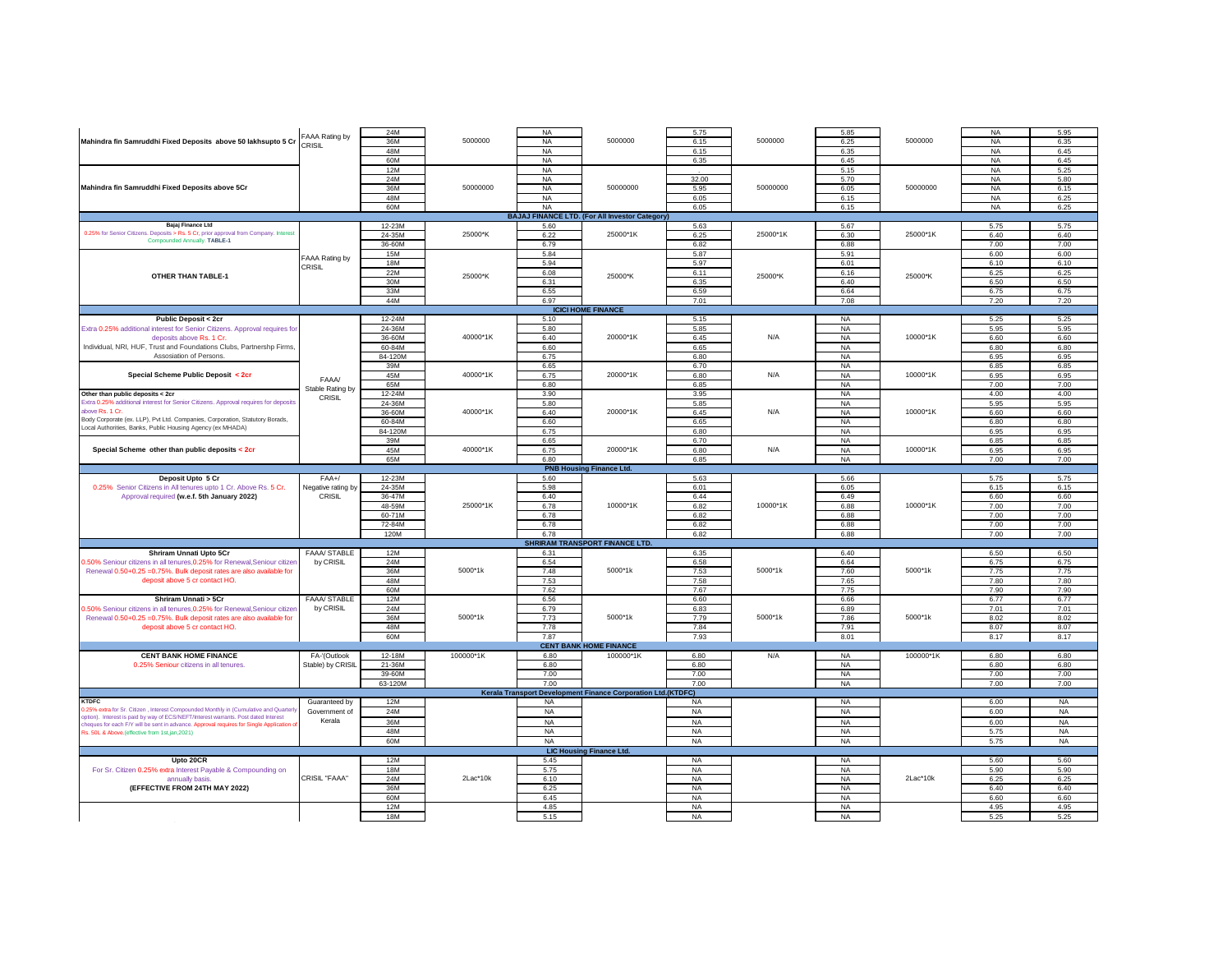|                                                                                       |                     | 24M        |           | <b>NA</b> |                                                                     | 5.75      |          | 5.85      |           | <b>NA</b> | 5.95      |
|---------------------------------------------------------------------------------------|---------------------|------------|-----------|-----------|---------------------------------------------------------------------|-----------|----------|-----------|-----------|-----------|-----------|
| Mahindra fin Samruddhi Fixed Deposits above 50 lakhsupto 5 Cr                         | FAAA Rating by      | 36M        | 5000000   |           | 5000000                                                             | 6.15      | 5000000  |           | 5000000   |           |           |
|                                                                                       | CRISIL              |            |           | <b>NA</b> |                                                                     |           |          | 6.25      |           | <b>NA</b> | 6.35      |
|                                                                                       |                     | 48M        |           | <b>NA</b> |                                                                     | 6.15      |          | 6.35      |           | <b>NA</b> | 6.45      |
|                                                                                       |                     |            |           |           |                                                                     |           |          |           |           |           |           |
|                                                                                       |                     | 60M        |           | <b>NA</b> |                                                                     | 6.35      |          | 6.45      |           | <b>NA</b> | 6.45      |
|                                                                                       |                     | <b>12M</b> |           | <b>NA</b> |                                                                     |           |          | 5.15      |           | <b>NA</b> | 5.25      |
|                                                                                       |                     |            |           |           |                                                                     |           |          |           |           |           |           |
|                                                                                       |                     | 24M        |           | <b>NA</b> |                                                                     | 32.00     |          | 5.70      |           | <b>NA</b> | 5.80      |
|                                                                                       |                     |            |           |           |                                                                     |           |          |           |           |           |           |
| Mahindra fin Samruddhi Fixed Deposits above 5Cr                                       |                     | 36M        | 50000000  | <b>NA</b> | 50000000                                                            | 5.95      | 50000000 | 6.05      | 50000000  | <b>NA</b> | 6.15      |
|                                                                                       |                     | 48M        |           | <b>NA</b> |                                                                     | 6.05      |          | 6.15      |           | <b>NA</b> | 6.25      |
|                                                                                       |                     |            |           |           |                                                                     |           |          |           |           |           |           |
|                                                                                       |                     | 60M        |           | <b>NA</b> |                                                                     | 6.05      |          | 6.15      |           | <b>NA</b> | 6.25      |
|                                                                                       |                     |            |           |           |                                                                     |           |          |           |           |           |           |
|                                                                                       |                     |            |           |           | <b>BAJAJ FINANCE LTD. (For All Investor Category)</b>               |           |          |           |           |           |           |
| Bajaj Finance Ltd                                                                     |                     | 12-23M     |           | 5.60      |                                                                     | 5.63      |          | 5.67      |           | 5.75      | 5.75      |
|                                                                                       |                     |            |           |           |                                                                     |           |          |           |           |           |           |
| 0.25% for Senior Citizens. Deposits > Rs. 5 Cr, prior approval from Company. Interest |                     | 24-35M     | 25000*K   | 6.22      | 25000*1K                                                            | 6.25      | 25000*1K | 6.30      | 25000*1K  | 6.40      | 6.40      |
| Compounded Annually. TABLE-1                                                          |                     |            |           |           |                                                                     |           |          |           |           |           |           |
|                                                                                       |                     | 36-60M     |           | 6.79      |                                                                     | 6.82      |          | 6.88      |           | 7.00      | 7.00      |
|                                                                                       |                     | <b>15M</b> |           | 5.84      |                                                                     | 5.87      |          | 5.91      |           | 6.00      | 6.00      |
|                                                                                       | FAAA Rating by      |            |           |           |                                                                     |           |          |           |           |           |           |
|                                                                                       |                     | 18M        |           | 5.94      |                                                                     | 5.97      |          | 6.01      |           | 6.10      | 6.10      |
|                                                                                       | CRISIL              | 22M        |           | 6.08      |                                                                     | 6.11      |          | 6.16      |           | 6.25      | 6.25      |
| <b>OTHER THAN TABLE-1</b>                                                             |                     |            | 25000*K   |           | 25000*K                                                             |           | 25000*K  |           | 25000*K   |           |           |
|                                                                                       |                     | 30M        |           | 6.31      |                                                                     | 6.35      |          | 6.40      |           | 6.50      | 6.50      |
|                                                                                       |                     |            |           |           |                                                                     |           |          |           |           |           |           |
|                                                                                       |                     | 33M        |           | 6.55      |                                                                     | 6.59      |          | 6.64      |           | 6.75      | 6.75      |
|                                                                                       |                     | 44M        |           | 6.97      |                                                                     | 7.01      |          | 7.08      |           | 7.20      | 7.20      |
|                                                                                       |                     |            |           |           |                                                                     |           |          |           |           |           |           |
|                                                                                       |                     |            |           |           | <b>ICICI HOME FINANCE</b>                                           |           |          |           |           |           |           |
|                                                                                       |                     |            |           |           |                                                                     |           |          |           |           |           |           |
| <b>Public Deposit &lt; 2cr</b>                                                        |                     | 12-24M     |           | 5.10      |                                                                     | 5.15      |          | <b>NA</b> |           | 5.25      | 5.25      |
|                                                                                       |                     | 24-36M     |           | 5.80      |                                                                     | 5.85      |          | <b>NA</b> |           | 5.95      | 5.95      |
| Extra 0.25% additional interest for Senior Citizens. Approval requires fo             |                     |            |           |           |                                                                     |           |          |           |           |           |           |
| deposits above Rs. 1 Cr.                                                              |                     | 36-60M     | 40000*1K  | 6.40      | 20000*1K                                                            | 6.45      | N/A      | <b>NA</b> | 10000*1K  | 6.60      | 6.60      |
|                                                                                       |                     |            |           |           |                                                                     |           |          |           |           |           |           |
| Individual, NRI, HUF, Trust and Foundations Clubs, Partnershp Firms                   |                     | 60-84M     |           | 6.60      |                                                                     | 6.65      |          | <b>NA</b> |           | 6.80      | 6.80      |
| Assosiation of Persons.                                                               |                     | 84-120M    |           | 6.75      |                                                                     | 6.80      |          | <b>NA</b> |           | 6.95      | 6.95      |
|                                                                                       |                     |            |           |           |                                                                     |           |          |           |           |           |           |
|                                                                                       |                     | 39M        |           | 6.65      |                                                                     | 6.70      |          | <b>NA</b> |           | 6.85      | 6.85      |
|                                                                                       |                     |            | 40000*1K  |           |                                                                     |           | N/A      |           |           |           |           |
| Special Scheme Public Deposit < 2cr                                                   | FAAA/               | 45M        |           | 6.75      | 20000*1K                                                            | 6.80      |          | <b>NA</b> | 10000*1K  | 6.95      | 6.95      |
|                                                                                       |                     | 65M        |           | 6.80      |                                                                     | 6.85      |          | <b>NA</b> |           | 7.00      | 7.00      |
|                                                                                       | Stable Rating by    |            |           |           |                                                                     |           |          |           |           |           |           |
| Other than public deposits < 2cr                                                      |                     | 12-24M     |           | 3.90      |                                                                     | 3.95      |          | <b>NA</b> |           | 4.00      | 4.00      |
| Extra 0.25% additional interest for Senior Citizens. Approval requires for deposit    | CRISIL              |            |           |           |                                                                     |           |          |           |           |           |           |
|                                                                                       |                     | 24-36M     |           | 5.80      |                                                                     | 5.85      |          | <b>NA</b> |           | 5.95      | 5.95      |
| above Rs. 1 C                                                                         |                     | 36-60M     | 40000*1K  | 6.40      | 20000*1K                                                            | 6.45      | N/A      | NA        | 10000*1K  | 6.60      | 6.60      |
| Body Corporate (ex. LLP), Pvt Ltd. Companies, Corporation, Statutory Borads,          |                     |            |           |           |                                                                     |           |          |           |           |           |           |
|                                                                                       |                     | 60-84M     |           | 6.60      |                                                                     | 6.65      |          | NA        |           | 6.80      | 6.80      |
| .ocal Authorities, Banks, Public Housing Agency (ex MHADA)                            |                     | 84-120M    |           | 6.75      |                                                                     | 6.80      |          | NA        |           | 6.95      | 6.95      |
|                                                                                       |                     |            |           |           |                                                                     |           |          |           |           |           |           |
|                                                                                       |                     | 39M        |           | 6.65      |                                                                     | 6.70      |          | <b>NA</b> |           | 6.85      | 6.85      |
|                                                                                       |                     |            |           |           |                                                                     |           |          |           |           |           |           |
| Special Scheme other than public deposits < 2cr                                       |                     | 45M        | 40000*1K  | 6.75      | 20000*1K                                                            | 6.80      | N/A      | <b>NA</b> | 10000*1K  | 6.95      | 6.95      |
|                                                                                       |                     | 65M        |           | 6.80      |                                                                     | 6.85      |          | <b>NA</b> |           | 7.00      | 7.00      |
|                                                                                       |                     |            |           |           |                                                                     |           |          |           |           |           |           |
|                                                                                       |                     |            |           |           | <b>PNB Housing Finance Ltd.</b>                                     |           |          |           |           |           |           |
| Deposit Upto 5 Cr                                                                     | $FAA+$              | 12-23M     |           | 5.60      |                                                                     | 5.63      |          | 5.66      |           | 5.75      | 5.75      |
|                                                                                       |                     |            |           |           |                                                                     |           |          |           |           |           |           |
|                                                                                       |                     |            |           |           |                                                                     |           |          |           |           |           |           |
|                                                                                       |                     |            |           |           |                                                                     |           |          |           |           |           |           |
| 0.25% Senior Citizens in All tenures upto 1 Cr. Above Rs. 5 Cr.                       | Negative rating by  | 24-35M     |           | 5.98      |                                                                     | 6.01      |          | 6.05      |           | 6.15      | 6.15      |
| Approval required (w.e.f. 5th January 2022)                                           | CRISIL              |            |           |           |                                                                     |           |          |           |           |           |           |
|                                                                                       |                     | 36-47M     |           | 6.40      |                                                                     | 6.44      |          | 6.49      |           | 6.60      | 6.60      |
|                                                                                       |                     | 48-59M     | 25000*1K  | 6.78      | 10000*1K                                                            | 6.82      | 10000*1K | 6.88      | 10000*1K  | 7.00      | 7.00      |
|                                                                                       |                     |            |           |           |                                                                     |           |          |           |           |           |           |
|                                                                                       |                     | 60-71M     |           | 6.78      |                                                                     | 6.82      |          | 6.88      |           | 7.00      | 7.00      |
|                                                                                       |                     | 72-84M     |           | 6.78      |                                                                     | 6.82      |          | 6.88      |           | 7.00      | 7.00      |
|                                                                                       |                     |            |           |           |                                                                     |           |          |           |           |           |           |
|                                                                                       |                     | 120M       |           | 6.78      |                                                                     | 6.82      |          | 6.88      |           | 7.00      | 7.00      |
|                                                                                       |                     |            |           |           |                                                                     |           |          |           |           |           |           |
|                                                                                       |                     |            |           |           | <b>SHRIRAM TRANSPORT FINANCE LTD.</b>                               |           |          |           |           |           |           |
| Shriram Unnati Upto 5Cr                                                               | <b>FAAA/ STABLE</b> | 12M        |           | 6.31      |                                                                     | 6.35      |          | 6.40      |           | 6.50      | 6.50      |
|                                                                                       |                     |            |           |           |                                                                     |           |          |           |           |           |           |
| .50% Seniour citizens in all tenures, 0.25% for Renewal, Seniour citize               | by CRISIL           | 24M        |           | 6.54      |                                                                     | 6.58      |          | 6.64      |           | 6.75      | 6.75      |
| Renewal 0.50+0.25 = 0.75%. Bulk deposit rates are also available for                  |                     | 36M        | 5000*1k   | 7.48      | 5000*1k                                                             | 7.53      | 5000*1k  | 7.60      | 5000*1k   | 7.75      | 7.75      |
|                                                                                       |                     |            |           |           |                                                                     |           |          |           |           |           |           |
| deposit above 5 cr contact HO.                                                        |                     | 48M        |           | 7.53      |                                                                     | 7.58      |          | 7.65      |           | 7.80      | 7.80      |
|                                                                                       |                     | 60M        |           |           |                                                                     | 7.67      |          |           |           |           | 7.90      |
|                                                                                       |                     |            |           | 7.62      |                                                                     |           |          | 7.75      |           | 7.90      |           |
| Shriram Unnati > 5Cr                                                                  | FAAA/ STABLE        | <b>12M</b> |           | 6.56      |                                                                     | 6.60      |          | 6.66      |           | 6.77      | 6.77      |
|                                                                                       |                     | 24M        |           | 6.79      |                                                                     | 6.83      |          | 6.89      |           | 7.01      | 7.01      |
| 1.50% Seniour citizens in all tenures, 0.25% for Renewal, Seniour citize              | by CRISIL           |            |           |           |                                                                     |           |          |           |           |           |           |
| Renewal 0.50+0.25 = 0.75%. Bulk deposit rates are also available for                  |                     | 36M        | 5000*1k   | 7.73      | 5000*1k                                                             | 7.79      | 5000*1k  | 7.86      | 5000*1k   | 8.02      | 8.02      |
|                                                                                       |                     |            |           |           |                                                                     |           |          |           |           |           |           |
| deposit above 5 cr contact HO.                                                        |                     | 48M        |           | 7.78      |                                                                     | 7.84      |          | 7.91      |           | 8.07      | 8.07      |
|                                                                                       |                     | 60M        |           | 7.87      |                                                                     | 7.93      |          | 8.01      |           | 8.17      | 8.17      |
|                                                                                       |                     |            |           |           |                                                                     |           |          |           |           |           |           |
|                                                                                       |                     |            |           |           | <b>CENT BANK HOME FINANCE</b>                                       |           |          |           |           |           |           |
|                                                                                       |                     |            |           |           |                                                                     |           |          |           |           |           |           |
| <b>CENT BANK HOME FINANCE</b>                                                         | FA-'(Outlook        | 12-18M     | 100000*1K | 6.80      | 100000*1K                                                           | 6.80      | N/A      | <b>NA</b> | 100000*1K | 6.80      | 6.80      |
| 0.25% Seniour citizens in all tenures.                                                | Stable) by CRISIL   | 21-36M     |           | 6.80      |                                                                     | 6.80      |          | <b>NA</b> |           | 6.80      | 6.80      |
|                                                                                       |                     |            |           |           |                                                                     |           |          |           |           |           |           |
|                                                                                       |                     | 39-60M     |           | 7.00      |                                                                     | 7.00      |          | <b>NA</b> |           | 7.00      | 7.00      |
|                                                                                       |                     | 63-120M    |           | 7.00      |                                                                     | 7.00      |          | <b>NA</b> |           | 7.00      | 7.00      |
|                                                                                       |                     |            |           |           |                                                                     |           |          |           |           |           |           |
|                                                                                       |                     |            |           |           | <b>Kerala Transport Development Finance Corporation Ltd.(KTDFC)</b> |           |          |           |           |           |           |
| <b>KTDFC</b>                                                                          |                     |            |           |           |                                                                     |           |          |           |           |           |           |
|                                                                                       | Guaranteed by       | 12M        |           | <b>NA</b> |                                                                     | <b>NA</b> |          | <b>NA</b> |           | 6.00      | <b>NA</b> |
| 25% extra for Sr. Citizen, Interest Compounded Monthly in (Cumulative and Quarter     | Government of       | 24M        |           | <b>NA</b> |                                                                     | <b>NA</b> |          | <b>NA</b> |           | 6.00      | <b>NA</b> |
| otion). Interest is paid by way of ECS/NEFT/Interest warrants. Post dated Interest    |                     |            |           |           |                                                                     |           |          |           |           |           |           |
|                                                                                       | Kerala              | 36M        |           | <b>NA</b> |                                                                     | <b>NA</b> |          | <b>NA</b> |           | 6.00      | <b>NA</b> |
| heques for each F/Y will be sent in advance. Approval requires for Single Application |                     |            |           |           |                                                                     |           |          |           |           |           |           |
| Rs. 50L & Above.(effective from 1st.jan.2021)                                         |                     | 48M        |           | <b>NA</b> |                                                                     | <b>NA</b> |          | <b>NA</b> |           | 5.75      | <b>NA</b> |
|                                                                                       |                     |            |           |           |                                                                     |           |          |           |           |           |           |
|                                                                                       |                     | 60M        |           | NA        |                                                                     | <b>NA</b> |          | <b>NA</b> |           | 5.75      | <b>NA</b> |
|                                                                                       |                     |            |           |           | <b>LIC Housing Finance Ltd.</b>                                     |           |          |           |           |           |           |
|                                                                                       |                     |            |           |           |                                                                     |           |          |           |           |           |           |
| Upto 20CR                                                                             |                     | 12M        |           | 5.45      |                                                                     | <b>NA</b> |          | <b>NA</b> |           | 5.60      | 5.60      |
|                                                                                       |                     | 18M        |           | 5.75      |                                                                     | <b>NA</b> |          | NA        |           | 5.90      | 5.90      |
| For Sr. Citizen 0.25% extra Interest Payable & Compounding on                         |                     |            |           |           |                                                                     |           |          |           |           |           |           |
| annually basis.                                                                       | CRISIL "FAAA"       | 24M        | 2Lac*10k  | 6.10      |                                                                     | <b>NA</b> |          | NA        | 2Lac*10k  | 6.25      | 6.25      |
|                                                                                       |                     |            |           |           |                                                                     |           |          |           |           |           |           |
| (EFFECTIVE FROM 24TH MAY 2022)                                                        |                     | 36M        |           | 6.25      |                                                                     | <b>NA</b> |          | NA        |           | 6.40      | 6.40      |
|                                                                                       |                     |            |           |           |                                                                     |           |          |           |           |           |           |
|                                                                                       |                     | 60M        |           | 6.45      |                                                                     | <b>NA</b> |          | NA        |           | 6.60      | 6.60      |
|                                                                                       |                     | 12M        |           | 4.85      |                                                                     | <b>NA</b> |          | NA        |           | 4.95      | 4.95      |
|                                                                                       |                     |            |           |           |                                                                     |           |          |           |           |           |           |
|                                                                                       |                     | 18M        |           | 5.15      |                                                                     | <b>NA</b> |          | NA        |           | 5.25      | 5.25      |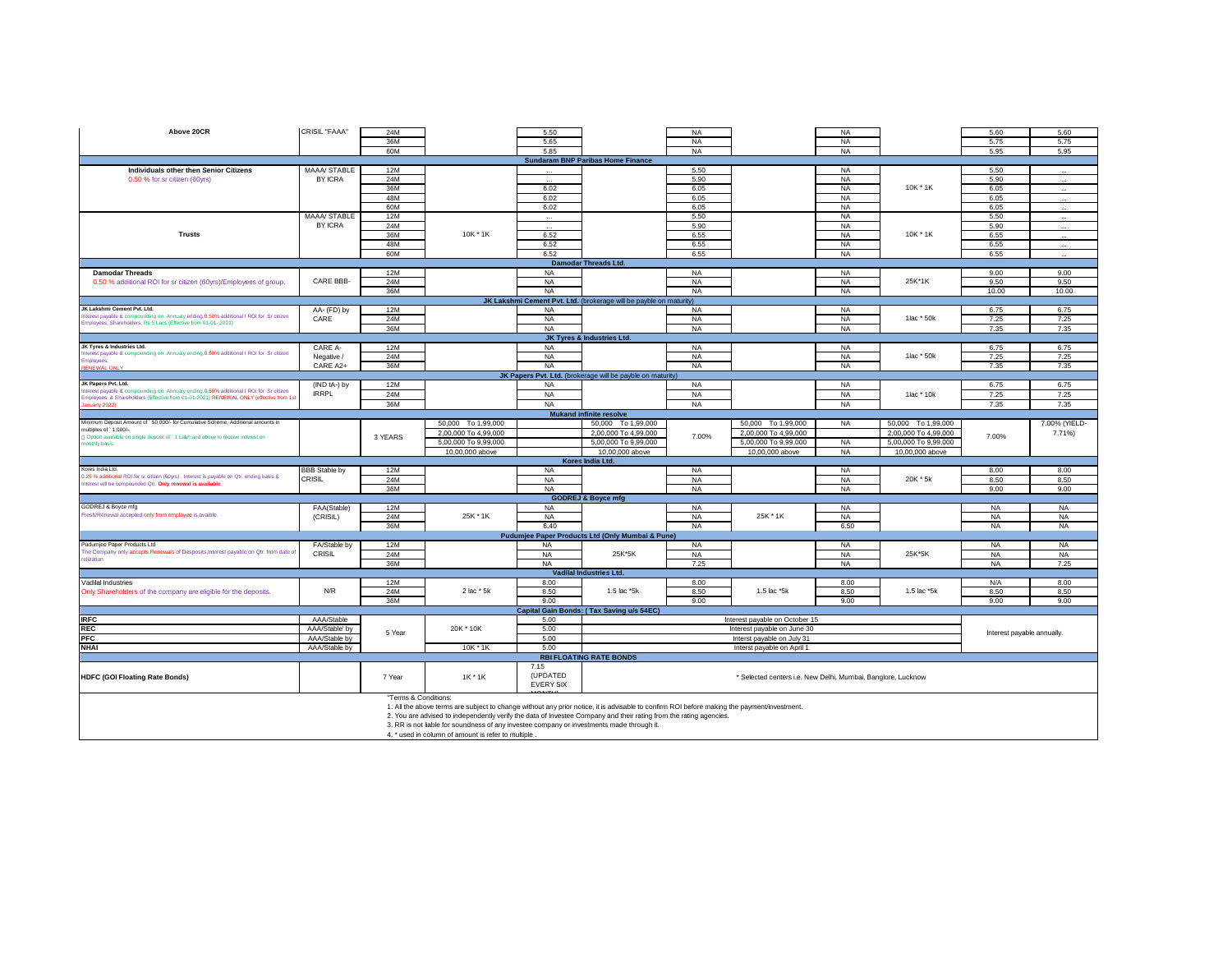| Above 20CR                                                                                | CRISIL "FAAA"        | 24M                  |                                                                                                                                             | 5.50             |                                                                    | <b>NA</b> |                                                              | <b>NA</b> |                      | 5.60                       | 5.60          |
|-------------------------------------------------------------------------------------------|----------------------|----------------------|---------------------------------------------------------------------------------------------------------------------------------------------|------------------|--------------------------------------------------------------------|-----------|--------------------------------------------------------------|-----------|----------------------|----------------------------|---------------|
|                                                                                           |                      | 36M                  |                                                                                                                                             | 5.65             |                                                                    | <b>NA</b> |                                                              | <b>NA</b> |                      | 5.75                       | 5.75          |
|                                                                                           |                      |                      |                                                                                                                                             |                  |                                                                    |           |                                                              |           |                      |                            |               |
|                                                                                           |                      | 60M                  |                                                                                                                                             | 5.85             |                                                                    | <b>NA</b> |                                                              | <b>NA</b> |                      | 5.95                       | 5.95          |
|                                                                                           |                      |                      |                                                                                                                                             |                  | <b>Sundaram BNP Paribas Home Finance</b>                           |           |                                                              |           |                      |                            |               |
| <b>Individuals other then Senior Citizens</b>                                             | MAAA/ STABLE         | <b>12M</b>           |                                                                                                                                             |                  |                                                                    | 5.50      |                                                              | <b>NA</b> |                      | 5.50                       |               |
|                                                                                           | BY ICRA              | <b>24M</b>           |                                                                                                                                             |                  |                                                                    | 5.90      |                                                              |           |                      | 5.90                       |               |
| 0.50 % for sr citizen (60yrs)                                                             |                      |                      |                                                                                                                                             |                  |                                                                    |           |                                                              | <b>NA</b> |                      |                            |               |
|                                                                                           |                      | 36M                  |                                                                                                                                             | 6.02             |                                                                    | 6.05      |                                                              | <b>NA</b> | 10K * 1K             | 6.05                       |               |
|                                                                                           |                      | 48M                  |                                                                                                                                             | 6.02             |                                                                    | 6.05      |                                                              | NA        |                      | 6.05                       |               |
|                                                                                           |                      |                      |                                                                                                                                             |                  |                                                                    |           |                                                              |           |                      |                            |               |
|                                                                                           |                      | 60M                  |                                                                                                                                             | 6.02             |                                                                    | 6.05      |                                                              | <b>NA</b> |                      | 6.05                       |               |
|                                                                                           | MAAA/ STABLE         | 12M                  |                                                                                                                                             |                  |                                                                    | 5.50      |                                                              | <b>NA</b> |                      | 5.50                       |               |
|                                                                                           | <b>BY ICRA</b>       | 24M                  |                                                                                                                                             |                  |                                                                    | 5.90      |                                                              | <b>NA</b> |                      | 5.90                       |               |
| <b>Trusts</b>                                                                             |                      | 36M                  | 10K * 1K                                                                                                                                    | 6.52             |                                                                    | 6.55      |                                                              | <b>NA</b> | 10K * 1K             | 6.55                       |               |
|                                                                                           |                      |                      |                                                                                                                                             |                  |                                                                    |           |                                                              |           |                      |                            |               |
|                                                                                           |                      | 48M                  |                                                                                                                                             | 6.52             |                                                                    | 6.55      |                                                              | <b>NA</b> |                      | 6.55                       |               |
|                                                                                           |                      | 60M                  |                                                                                                                                             | 6.52             |                                                                    | 6.55      |                                                              | <b>NA</b> |                      | 6.55                       |               |
|                                                                                           |                      |                      |                                                                                                                                             |                  | <b>Damodar Threads Ltd.</b>                                        |           |                                                              |           |                      |                            |               |
|                                                                                           |                      |                      |                                                                                                                                             |                  |                                                                    |           |                                                              |           |                      |                            |               |
| <b>Damodar Threads</b>                                                                    |                      | 12M                  |                                                                                                                                             | <b>NA</b>        |                                                                    | <b>NA</b> |                                                              | <b>NA</b> |                      | 9.00                       | 9.00          |
| 0.50 % additional ROI for sr citizen (60yrs)/Employees of group.                          | CARE BBB-            | 24M                  |                                                                                                                                             | <b>NA</b>        |                                                                    | <b>NA</b> |                                                              | <b>NA</b> | 25K*1K               | 9.50                       | 9.50          |
|                                                                                           |                      | 36M                  |                                                                                                                                             | <b>NA</b>        |                                                                    | <b>NA</b> |                                                              | <b>NA</b> |                      | 10.00                      | 10.00         |
|                                                                                           |                      |                      |                                                                                                                                             |                  |                                                                    |           |                                                              |           |                      |                            |               |
|                                                                                           |                      |                      |                                                                                                                                             |                  | JK Lakshmi Cement Pvt. Ltd. (brokerage will be payble on maturity) |           |                                                              |           |                      |                            |               |
| JK Lakshmi Cement Pvt. Ltd.                                                               | AA- (FD) by          | 12M                  |                                                                                                                                             | <b>NA</b>        |                                                                    | <b>NA</b> |                                                              | <b>NA</b> |                      | 6.75                       | 6.75          |
| nterest payable & compounding on Annualy ending, 0.50% additional I ROI for Sr citizen    | CARE                 | 24M                  |                                                                                                                                             | <b>NA</b>        |                                                                    | <b>NA</b> |                                                              | <b>NA</b> | 1lac * 50k           | 7.25                       | 7.25          |
| imployees, Shareholders, Rs 5 Lacs (Effective from 01-01-2021)                            |                      |                      |                                                                                                                                             |                  |                                                                    |           |                                                              |           |                      |                            |               |
|                                                                                           |                      | 36M                  |                                                                                                                                             | NA               |                                                                    | NA        |                                                              | NA        |                      | 7.35                       | 7.35          |
|                                                                                           |                      |                      |                                                                                                                                             |                  | JK Tyres & Industries Ltd.                                         |           |                                                              |           |                      |                            |               |
| JK Tyres & Industries Ltd.                                                                | CARE A-              | 12M                  |                                                                                                                                             | <b>NA</b>        |                                                                    | <b>NA</b> |                                                              | <b>NA</b> |                      | 6.75                       | 6.75          |
| nterest payable & compounding on Annualy ending, 0.50% additional I ROI for Sr citizen    | Negative /           | 24M                  |                                                                                                                                             | <b>NA</b>        |                                                                    | <b>NA</b> |                                                              | <b>NA</b> | 1lac * 50k           | 7.25                       | 7.25          |
| Employees                                                                                 |                      |                      |                                                                                                                                             |                  |                                                                    |           |                                                              |           |                      |                            |               |
| NEWAL                                                                                     | CARE A2+             | 36M                  |                                                                                                                                             | <b>NA</b>        |                                                                    | <b>NA</b> |                                                              | <b>NA</b> |                      | 7.35                       | 7.35          |
|                                                                                           |                      |                      |                                                                                                                                             |                  | JK Papers Pvt. Ltd. (brokerage will be payble on maturity)         |           |                                                              |           |                      |                            |               |
| JK Papers Pvt. Ltd.                                                                       | (IND tA-) by         | 12M                  |                                                                                                                                             | <b>NA</b>        |                                                                    | <b>NA</b> |                                                              | NA        |                      | 6.75                       | 6.75          |
| nterest payable & compounding on Annualy ending, 0.50% additional I ROI for Sr citizen    |                      |                      |                                                                                                                                             |                  |                                                                    |           |                                                              |           |                      |                            |               |
| Employees, & Shareholders (Effective from 01-01-2021) RENEWAL ONLY (effective from 1s     | <b>IRRPL</b>         | 24M                  |                                                                                                                                             | <b>NA</b>        |                                                                    | <b>NA</b> |                                                              | NA        | 1lac * 10k           | 7.25                       | 7.25          |
| nuarty 202                                                                                |                      | 36M                  |                                                                                                                                             | <b>NA</b>        |                                                                    | <b>NA</b> |                                                              | <b>NA</b> |                      | 7.35                       | 7.35          |
|                                                                                           |                      |                      |                                                                                                                                             |                  |                                                                    |           |                                                              |           |                      |                            |               |
|                                                                                           |                      |                      |                                                                                                                                             |                  | <b>Mukand infinite resolve</b>                                     |           |                                                              |           |                      |                            |               |
| Minimum Deposit Amount of ` 50,000/- for Cumulative Scheme, Additional amounts in         |                      |                      | 50,000 To 1,99,000                                                                                                                          |                  | 50,000 To 1,99,000                                                 |           | 50,000 To 1,99,000                                           | <b>NA</b> | 50,000 To 1,99,000   |                            | 7.00% (YIELD- |
| multiples of ' 1,000/-                                                                    |                      |                      | 2,00,000 To 4,99,000                                                                                                                        |                  | 2.00.000 To 4.99.000                                               |           | 2,00,000 To 4,99,000                                         |           | 2,00,000 To 4,99,000 |                            | 7.71%)        |
| 1 Option available on single deposit of 1 Lakh and above to receive interest on           |                      | 3 YEARS              | 5.00.000 To 9.99.000                                                                                                                        |                  | 5.00.000 To 9.99.000                                               | 7.00%     | 5.00.000 To 9.99.000                                         | <b>NA</b> | 5.00.000 To 9.99.000 | 7.00%                      |               |
| nonthly basis.                                                                            |                      |                      |                                                                                                                                             |                  |                                                                    |           |                                                              |           |                      |                            |               |
|                                                                                           |                      |                      | 10,00,000 above                                                                                                                             |                  | 10,00,000 above                                                    |           | 10,00,000 above                                              | NA        | 10,00,000 above      |                            |               |
|                                                                                           |                      |                      |                                                                                                                                             |                  | Kores India Ltd.                                                   |           |                                                              |           |                      |                            |               |
| Kores India Ltd.                                                                          | <b>BBB Stable by</b> | 12M                  |                                                                                                                                             | <b>NA</b>        |                                                                    | <b>NA</b> |                                                              | <b>NA</b> |                      | 8.00                       | 8.00          |
| 0.25 % additional ROI for sr citizen (60yrs) . Interest is payable on Qtr. ending basis & |                      |                      |                                                                                                                                             |                  |                                                                    |           |                                                              |           | 20K * 5k             |                            |               |
| nterest will be compounded Qtr. Only renewal is available                                 | CRISIL               | 24M                  |                                                                                                                                             | <b>NA</b>        |                                                                    | <b>NA</b> |                                                              | <b>NA</b> |                      | 8.50                       | 8.50          |
|                                                                                           |                      | 36M                  |                                                                                                                                             | <b>NA</b>        |                                                                    | <b>NA</b> |                                                              | <b>NA</b> |                      | 9.00                       | 9.00          |
|                                                                                           |                      |                      |                                                                                                                                             |                  | <b>GODREJ &amp; Boyce mfg</b>                                      |           |                                                              |           |                      |                            |               |
| GODREJ & Boyce mfg                                                                        |                      | 12M                  |                                                                                                                                             | <b>NA</b>        |                                                                    | <b>NA</b> |                                                              | <b>NA</b> |                      | <b>NA</b>                  | <b>NA</b>     |
|                                                                                           | FAA(Stable)          |                      |                                                                                                                                             |                  |                                                                    |           |                                                              |           |                      |                            |               |
| Fresh/Renewal accepted only from employee is avaible.                                     | (CRISIL)             | 24M                  | 25K * 1K                                                                                                                                    | <b>NA</b>        |                                                                    |           |                                                              | <b>NA</b> |                      |                            | <b>NA</b>     |
|                                                                                           |                      |                      |                                                                                                                                             |                  |                                                                    | <b>NA</b> | 25K * 1K                                                     |           |                      | <b>NA</b>                  |               |
|                                                                                           |                      |                      |                                                                                                                                             |                  |                                                                    |           |                                                              |           |                      |                            |               |
|                                                                                           |                      | 36M                  |                                                                                                                                             | 6.40             |                                                                    | <b>NA</b> |                                                              | 6.50      |                      | <b>NA</b>                  | <b>NA</b>     |
|                                                                                           |                      |                      |                                                                                                                                             |                  | Pudumjee Paper Products Ltd (Only Mumbai & Pune)                   |           |                                                              |           |                      |                            |               |
| Pudumjee Paper Products Ltd                                                               | FA/Stable by         | 12M                  |                                                                                                                                             | <b>NA</b>        |                                                                    | <b>NA</b> |                                                              | <b>NA</b> |                      | <b>NA</b>                  | <b>NA</b>     |
| The Company only accepts Renewals of Desposits, Interest payable on Qtr. from date o      | CRISIL               | 24M                  |                                                                                                                                             |                  | 25K*5K                                                             |           |                                                              |           | 25K*5K               |                            |               |
| elization                                                                                 |                      |                      |                                                                                                                                             | <b>NA</b>        |                                                                    | <b>NA</b> |                                                              | NA        |                      | <b>NA</b>                  | <b>NA</b>     |
|                                                                                           |                      | 36M                  |                                                                                                                                             | <b>NA</b>        |                                                                    | 7.25      |                                                              | <b>NA</b> |                      | <b>NA</b>                  | 7.25          |
|                                                                                           |                      |                      |                                                                                                                                             |                  | Vadilal Industries Ltd.                                            |           |                                                              |           |                      |                            |               |
| Vadilal Industries                                                                        |                      | 12M                  |                                                                                                                                             | 8.00             |                                                                    | 8.00      |                                                              | 8.00      |                      | N/A                        | 8.00          |
|                                                                                           | N/R                  |                      | 2 lac * 5k                                                                                                                                  |                  | 1.5 lac *5k                                                        |           | 1.5 lac *5k                                                  |           | 1.5 lac *5k          |                            |               |
| Only Shareholders of the company are eligible for the deposits.                           |                      | 24M                  |                                                                                                                                             | 8.50             |                                                                    | 8.50      |                                                              | 8.50      |                      | 8.50                       | 8.50          |
|                                                                                           |                      | 36M                  |                                                                                                                                             | 9.00             |                                                                    | 9.00      |                                                              | 9.00      |                      | 9.00                       | 9.00          |
|                                                                                           |                      |                      |                                                                                                                                             |                  | Capital Gain Bonds: (Tax Saving u/s 54EC)                          |           |                                                              |           |                      |                            |               |
|                                                                                           |                      |                      |                                                                                                                                             |                  |                                                                    |           |                                                              |           |                      |                            |               |
| <b>IRFC</b>                                                                               | AAA/Stable           |                      |                                                                                                                                             | 5.00             |                                                                    |           | Interest payable on October 15                               |           |                      |                            |               |
| <b>REC</b>                                                                                | AAA/Stable' bv       | 5 Year               | 20K * 10K                                                                                                                                   | 5.00             |                                                                    |           | Interest payable on June 30                                  |           |                      | Interest payable annually. |               |
| <b>PFC</b>                                                                                | AAA/Stable by        |                      |                                                                                                                                             | 5.00             |                                                                    |           | Interst payable on July 31                                   |           |                      |                            |               |
| <b>NHAI</b>                                                                               |                      |                      |                                                                                                                                             | 5.00             |                                                                    |           |                                                              |           |                      |                            |               |
|                                                                                           | AAA/Stable by        |                      | 10K * 1K                                                                                                                                    |                  |                                                                    |           | Interst payable on April 1                                   |           |                      |                            |               |
|                                                                                           |                      |                      |                                                                                                                                             |                  | <b>RBI FLOATING RATE BONDS</b>                                     |           |                                                              |           |                      |                            |               |
|                                                                                           |                      |                      |                                                                                                                                             | 7.15             |                                                                    |           |                                                              |           |                      |                            |               |
|                                                                                           |                      |                      |                                                                                                                                             | (UPDATED         |                                                                    |           | * Selected centers i.e. New Delhi, Mumbai, Banglore, Lucknow |           |                      |                            |               |
| <b>HDFC (GOI Floating Rate Bonds)</b>                                                     |                      | 7 Year               | 1K * 1K                                                                                                                                     |                  |                                                                    |           |                                                              |           |                      |                            |               |
|                                                                                           |                      |                      |                                                                                                                                             | <b>EVERY SIX</b> |                                                                    |           |                                                              |           |                      |                            |               |
|                                                                                           |                      |                      |                                                                                                                                             |                  |                                                                    |           |                                                              |           |                      |                            |               |
|                                                                                           |                      | "Terms & Conditions: |                                                                                                                                             |                  |                                                                    |           |                                                              |           |                      |                            |               |
|                                                                                           |                      |                      | 1. All the above terms are subject to change without any prior notice, it is advisable to confirm ROI before making the payment/investment. |                  |                                                                    |           |                                                              |           |                      |                            |               |
|                                                                                           |                      |                      | 2. You are advised to independently verify the data of Investee Company and their rating from the rating agencies.                          |                  |                                                                    |           |                                                              |           |                      |                            |               |
|                                                                                           |                      |                      | 3. RR is not liable for soundness of any investee company or investments made through it.                                                   |                  |                                                                    |           |                                                              |           |                      |                            |               |